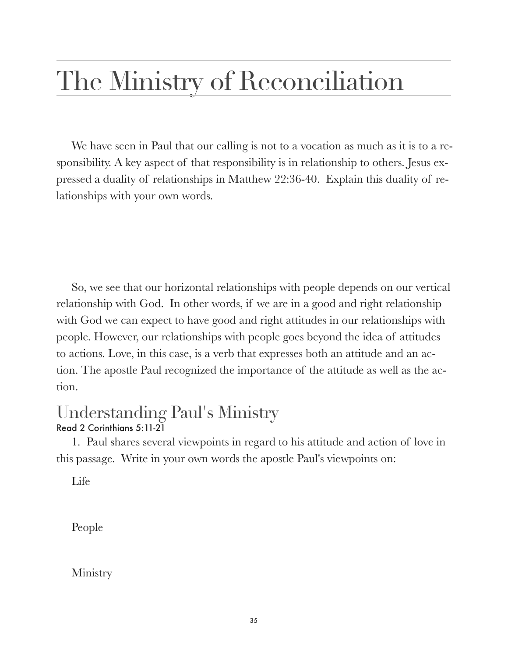## The Ministry of Reconciliation

We have seen in Paul that our calling is not to a vocation as much as it is to a responsibility. A key aspect of that responsibility is in relationship to others. Jesus expressed a duality of relationships in Matthew 22:36-40. Explain this duality of relationships with your own words.

So, we see that our horizontal relationships with people depends on our vertical relationship with God. In other words, if we are in a good and right relationship with God we can expect to have good and right attitudes in our relationships with people. However, our relationships with people goes beyond the idea of attitudes to actions. Love, in this case, is a verb that expresses both an attitude and an action. The apostle Paul recognized the importance of the attitude as well as the action.

## Understanding Paul's Ministry Read 2 Corinthians 5:11-21

1. Paul shares several viewpoints in regard to his attitude and action of love in this passage. Write in your own words the apostle Paul's viewpoints on:

Life

People

Ministry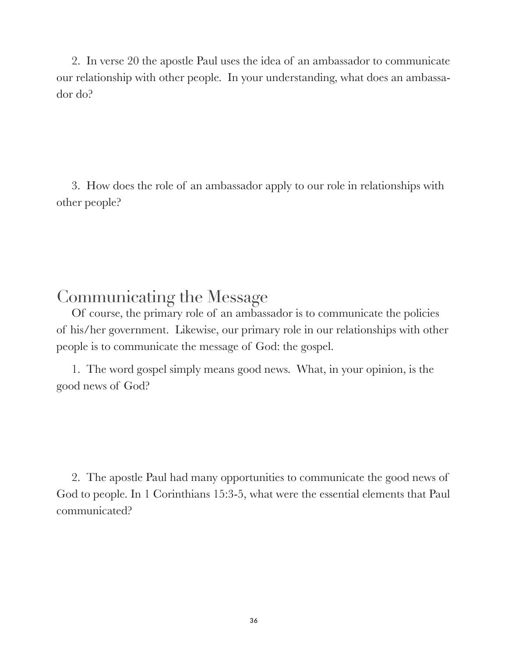2. In verse 20 the apostle Paul uses the idea of an ambassador to communicate our relationship with other people. In your understanding, what does an ambassador do?

3. How does the role of an ambassador apply to our role in relationships with other people?

## Communicating the Message

Of course, the primary role of an ambassador is to communicate the policies of his/her government. Likewise, our primary role in our relationships with other people is to communicate the message of God: the gospel.

1. The word gospel simply means good news. What, in your opinion, is the good news of God?

2. The apostle Paul had many opportunities to communicate the good news of God to people. In 1 Corinthians 15:3-5, what were the essential elements that Paul communicated?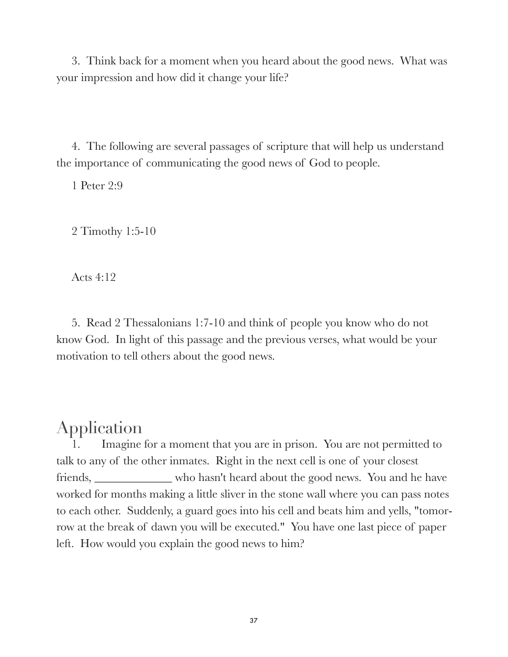3. Think back for a moment when you heard about the good news. What was your impression and how did it change your life?

4. The following are several passages of scripture that will help us understand the importance of communicating the good news of God to people.

1 Peter 2:9

2 Timothy 1:5-10

Acts 4:12

5. Read 2 Thessalonians 1:7-10 and think of people you know who do not know God. In light of this passage and the previous verses, what would be your motivation to tell others about the good news.

## Application

Imagine for a moment that you are in prison. You are not permitted to talk to any of the other inmates. Right in the next cell is one of your closest friends, \_\_\_\_\_\_\_\_\_\_\_\_\_ who hasn't heard about the good news. You and he have worked for months making a little sliver in the stone wall where you can pass notes to each other. Suddenly, a guard goes into his cell and beats him and yells, "tomorrow at the break of dawn you will be executed." You have one last piece of paper left. How would you explain the good news to him?